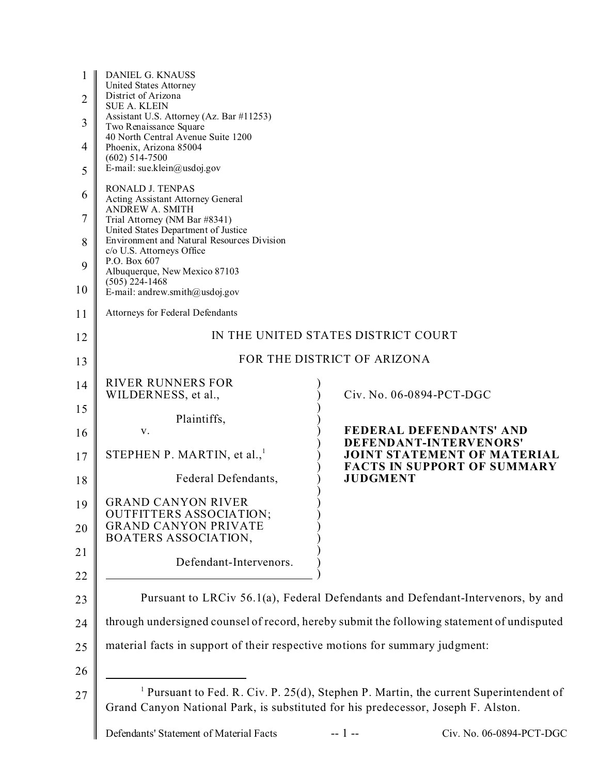| 1<br>$\overline{2}$<br>3 | DANIEL G. KNAUSS<br>United States Attorney<br>District of Arizona<br><b>SUE A. KLEIN</b><br>Assistant U.S. Attorney (Az. Bar #11253)<br>Two Renaissance Square<br>40 North Central Avenue Suite 1200 |                                                                                                  |
|--------------------------|------------------------------------------------------------------------------------------------------------------------------------------------------------------------------------------------------|--------------------------------------------------------------------------------------------------|
| 4<br>5                   | Phoenix, Arizona 85004<br>$(602) 514 - 7500$<br>E-mail: sue.klein@usdoj.gov                                                                                                                          |                                                                                                  |
| 6                        | RONALD J. TENPAS<br>Acting Assistant Attorney General                                                                                                                                                |                                                                                                  |
| 7                        | <b>ANDREW A. SMITH</b><br>Trial Attorney (NM Bar #8341)                                                                                                                                              |                                                                                                  |
| 8                        | United States Department of Justice<br>Environment and Natural Resources Division<br>c/o U.S. Attorneys Office                                                                                       |                                                                                                  |
| 9                        | P.O. Box 607<br>Albuquerque, New Mexico 87103<br>$(505)$ 224-1468                                                                                                                                    |                                                                                                  |
| 10                       | E-mail: andrew.smith@usdoj.gov                                                                                                                                                                       |                                                                                                  |
| 11                       | Attorneys for Federal Defendants                                                                                                                                                                     |                                                                                                  |
| 12                       |                                                                                                                                                                                                      | IN THE UNITED STATES DISTRICT COURT                                                              |
| 13                       |                                                                                                                                                                                                      | FOR THE DISTRICT OF ARIZONA                                                                      |
| 14                       | <b>RIVER RUNNERS FOR</b><br>WILDERNESS, et al.,                                                                                                                                                      | Civ. No. 06-0894-PCT-DGC                                                                         |
| 15                       | Plaintiffs,                                                                                                                                                                                          |                                                                                                  |
| 16                       | V.                                                                                                                                                                                                   | FEDERAL DEFENDANTS' AND<br>DEFENDANT-INTERVENORS'                                                |
| 17                       | STEPHEN P. MARTIN, et al., <sup>1</sup>                                                                                                                                                              | <b>JOINT STATEMENT OF MATERIAL</b><br><b>FACTS IN SUPPORT OF SUMMARY</b>                         |
| 18                       | Federal Defendants,                                                                                                                                                                                  | <b>JUDGMENT</b>                                                                                  |
| 19                       | <b>GRAND CANYON RIVER</b><br><b>OUTFITTERS ASSOCIATION;</b>                                                                                                                                          |                                                                                                  |
| 20                       | <b>GRAND CANYON PRIVATE</b><br>BOATERS ASSOCIATION,                                                                                                                                                  |                                                                                                  |
| 21                       | Defendant-Intervenors.                                                                                                                                                                               |                                                                                                  |
| 22<br>23                 |                                                                                                                                                                                                      | Pursuant to LRCiv 56.1(a), Federal Defendants and Defendant-Intervenors, by and                  |
| 24                       |                                                                                                                                                                                                      | through undersigned counsel of record, hereby submit the following statement of undisputed       |
| 25                       | material facts in support of their respective motions for summary judgment:                                                                                                                          |                                                                                                  |
| 26                       |                                                                                                                                                                                                      |                                                                                                  |
| 27                       | Grand Canyon National Park, is substituted for his predecessor, Joseph F. Alston.                                                                                                                    | <sup>1</sup> Pursuant to Fed. R. Civ. P. 25(d), Stephen P. Martin, the current Superintendent of |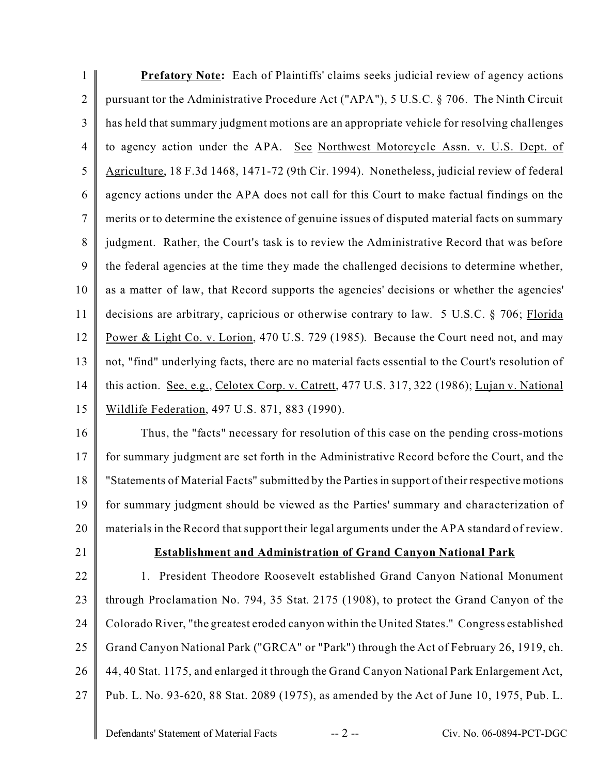1 2 3 4 5 6 7 8 9 10 11 12 13 14 15 **Prefatory Note:** Each of Plaintiffs' claims seeks judicial review of agency actions pursuant tor the Administrative Procedure Act ("APA"), 5 U.S.C. § 706. The Ninth Circuit has held that summary judgment motions are an appropriate vehicle for resolving challenges to agency action under the APA. See Northwest Motorcycle Assn. v. U.S. Dept. of Agriculture, 18 F.3d 1468, 1471-72 (9th Cir. 1994). Nonetheless, judicial review of federal agency actions under the APA does not call for this Court to make factual findings on the merits or to determine the existence of genuine issues of disputed material facts on summary judgment. Rather, the Court's task is to review the Administrative Record that was before the federal agencies at the time they made the challenged decisions to determine whether, as a matter of law, that Record supports the agencies' decisions or whether the agencies' decisions are arbitrary, capricious or otherwise contrary to law. 5 U.S.C. § 706; Florida Power & Light Co. v. Lorion, 470 U.S. 729 (1985). Because the Court need not, and may not, "find" underlying facts, there are no material facts essential to the Court's resolution of this action. See, e.g., Celotex Corp. v. Catrett, 477 U.S. 317, 322 (1986); Lujan v. National Wildlife Federation, 497 U.S. 871, 883 (1990).

16 17 18 19 20 Thus, the "facts" necessary for resolution of this case on the pending cross-motions for summary judgment are set forth in the Administrative Record before the Court, and the "Statements of Material Facts" submitted by the Parties in support of their respective motions for summary judgment should be viewed as the Parties' summary and characterization of materials in the Record that support their legal arguments under the APA standard of review.

21

## **Establishment and Administration of Grand Canyon National Park**

22 23 24 25 26 27 1. President Theodore Roosevelt established Grand Canyon National Monument through Proclamation No. 794, 35 Stat. 2175 (1908), to protect the Grand Canyon of the Colorado River, "the greatest eroded canyon within the United States." Congress established Grand Canyon National Park ("GRCA" or "Park") through the Act of February 26, 1919, ch. 44, 40 Stat. 1175, and enlarged it through the Grand Canyon National Park Enlargement Act, Pub. L. No. 93-620, 88 Stat. 2089 (1975), as amended by the Act of June 10, 1975, Pub. L.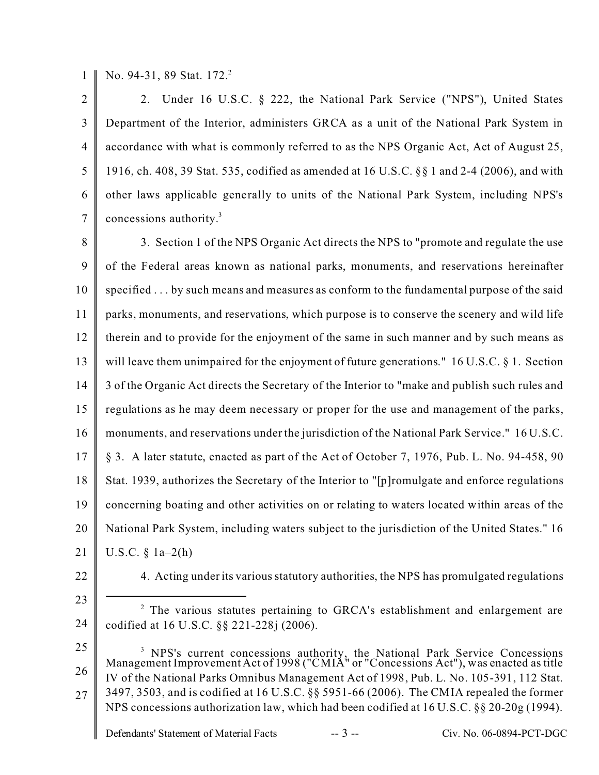1 No. 94-31, 89 Stat. 172.<sup>2</sup>

 $\mathfrak{D}$ 3 4 5 6 7 2. Under 16 U.S.C. § 222, the National Park Service ("NPS"), United States Department of the Interior, administers GRCA as a unit of the National Park System in accordance with what is commonly referred to as the NPS Organic Act, Act of August 25, 1916, ch. 408, 39 Stat. 535, codified as amended at 16 U.S.C. §§ 1 and 2-4 (2006), and with other laws applicable generally to units of the National Park System, including NPS's concessions authority.<sup>3</sup>

8 9 10 11 12 13 14 15 16 17 18 19 20 21 3. Section 1 of the NPS Organic Act directs the NPS to "promote and regulate the use of the Federal areas known as national parks, monuments, and reservations hereinafter specified . . . by such means and measures as conform to the fundamental purpose of the said parks, monuments, and reservations, which purpose is to conserve the scenery and wild life therein and to provide for the enjoyment of the same in such manner and by such means as will leave them unimpaired for the enjoyment of future generations." 16 U.S.C. § 1. Section 3 of the Organic Act directs the Secretary of the Interior to "make and publish such rules and regulations as he may deem necessary or proper for the use and management of the parks, monuments, and reservations under the jurisdiction of the National Park Service." 16 U.S.C. § 3. A later statute, enacted as part of the Act of October 7, 1976, Pub. L. No. 94-458, 90 Stat. 1939, authorizes the Secretary of the Interior to "[p]romulgate and enforce regulations concerning boating and other activities on or relating to waters located within areas of the National Park System, including waters subject to the jurisdiction of the United States." 16 U.S.C.  $\S$  1a–2(h)

22

4. Acting under its various statutory authorities, the NPS has promulgated regulations

23 24 <sup>2</sup> The various statutes pertaining to GRCA's establishment and enlargement are codified at 16 U.S.C. §§ 221-228j (2006).

25 26 27 <sup>3</sup> NPS's current concessions authority, the National Park Service Concessions Management Improvement Act of 1998 ("CMIA" or "Concessions Act"), was enacted as title IV of the National Parks Omnibus Management Act of 1998, Pub. L. No. 105-391, 112 Stat. 3497, 3503, and is codified at 16 U.S.C. §§ 5951-66 (2006). The CMIA repealed the former NPS concessions authorization law, which had been codified at 16 U.S.C. §§ 20-20g (1994).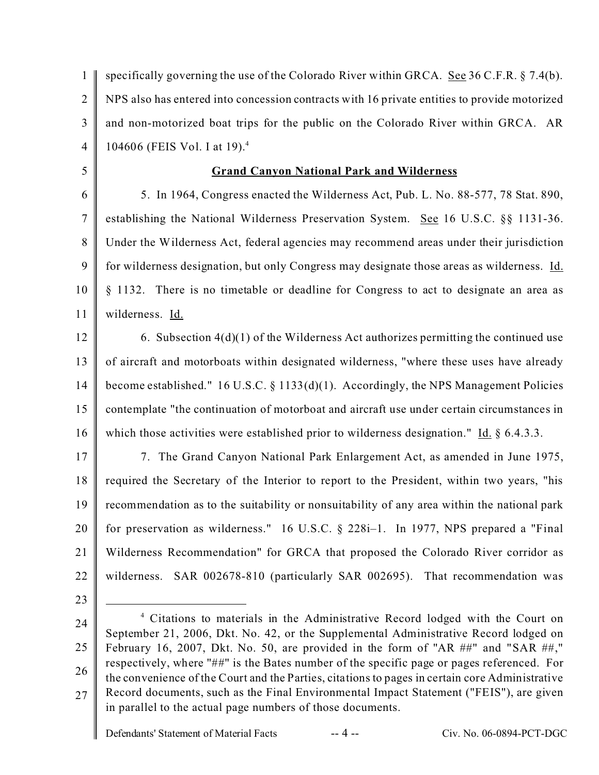1  $\overline{2}$ 3 4 specifically governing the use of the Colorado River within GRCA. See  $36$  C.F.R. § 7.4(b). NPS also has entered into concession contracts with 16 private entities to provide motorized and non-motorized boat trips for the public on the Colorado River within GRCA. AR 104606 (FEIS Vol. I at 19).<sup>4</sup>

**Grand Canyon National Park and Wilderness**

6 7 8 9 10 11 5. In 1964, Congress enacted the Wilderness Act, Pub. L. No. 88-577, 78 Stat. 890, establishing the National Wilderness Preservation System. See 16 U.S.C. §§ 1131-36. Under the Wilderness Act, federal agencies may recommend areas under their jurisdiction for wilderness designation, but only Congress may designate those areas as wilderness. Id. § 1132. There is no timetable or deadline for Congress to act to designate an area as wilderness. Id.

12 13 14 15 16 6. Subsection 4(d)(1) of the Wilderness Act authorizes permitting the continued use of aircraft and motorboats within designated wilderness, "where these uses have already become established." 16 U.S.C. § 1133(d)(1). Accordingly, the NPS Management Policies contemplate "the continuation of motorboat and aircraft use under certain circumstances in which those activities were established prior to wilderness designation." Id. § 6.4.3.3.

17 18 19 20 21 22 7. The Grand Canyon National Park Enlargement Act, as amended in June 1975, required the Secretary of the Interior to report to the President, within two years, "his recommendation as to the suitability or nonsuitability of any area within the national park for preservation as wilderness." 16 U.S.C. § 228i–1. In 1977, NPS prepared a "Final Wilderness Recommendation" for GRCA that proposed the Colorado River corridor as wilderness. SAR 002678-810 (particularly SAR 002695). That recommendation was

23

5

24

<sup>25</sup> 26 27 <sup>4</sup> Citations to materials in the Administrative Record lodged with the Court on September 21, 2006, Dkt. No. 42, or the Supplemental Administrative Record lodged on February 16, 2007, Dkt. No. 50, are provided in the form of "AR ##" and "SAR ##," respectively, where "##" is the Bates number of the specific page or pages referenced. For the convenience of the Court and the Parties, citations to pages in certain core Administrative Record documents, such as the Final Environmental Impact Statement ("FEIS"), are given in parallel to the actual page numbers of those documents.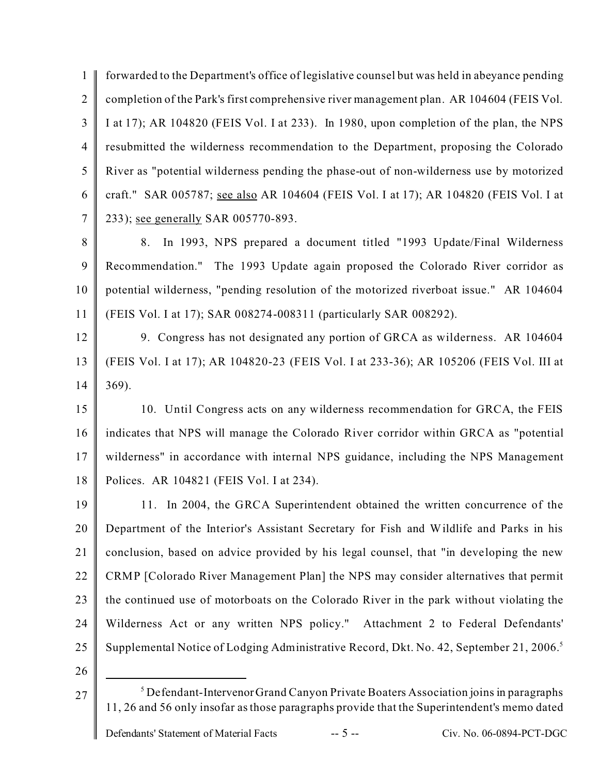1  $\overline{2}$ 3 4 5 6 7 forwarded to the Department's office of legislative counsel but was held in abeyance pending completion of the Park's first comprehensive river management plan. AR 104604 (FEIS Vol. I at 17); AR 104820 (FEIS Vol. I at 233). In 1980, upon completion of the plan, the NPS resubmitted the wilderness recommendation to the Department, proposing the Colorado River as "potential wilderness pending the phase-out of non-wilderness use by motorized craft." SAR 005787; see also AR 104604 (FEIS Vol. I at 17); AR 104820 (FEIS Vol. I at 233); see generally SAR 005770-893.

8 9 10 11 8. In 1993, NPS prepared a document titled "1993 Update/Final Wilderness Recommendation." The 1993 Update again proposed the Colorado River corridor as potential wilderness, "pending resolution of the motorized riverboat issue." AR 104604 (FEIS Vol. I at 17); SAR 008274-008311 (particularly SAR 008292).

12 13 14 9. Congress has not designated any portion of GRCA as wilderness. AR 104604 (FEIS Vol. I at 17); AR 104820-23 (FEIS Vol. I at 233-36); AR 105206 (FEIS Vol. III at 369).

15 16 17 18 10. Until Congress acts on any wilderness recommendation for GRCA, the FEIS indicates that NPS will manage the Colorado River corridor within GRCA as "potential wilderness" in accordance with internal NPS guidance, including the NPS Management Polices. AR 104821 (FEIS Vol. I at 234).

19 20 21 22 23 24 25 11. In 2004, the GRCA Superintendent obtained the written concurrence of the Department of the Interior's Assistant Secretary for Fish and Wildlife and Parks in his conclusion, based on advice provided by his legal counsel, that "in developing the new CRMP [Colorado River Management Plan] the NPS may consider alternatives that permit the continued use of motorboats on the Colorado River in the park without violating the Wilderness Act or any written NPS policy." Attachment 2 to Federal Defendants' Supplemental Notice of Lodging Administrative Record, Dkt. No. 42, September 21, 2006.<sup>5</sup>

26

27

Defendant-IntervenorGrand Canyon Private Boaters Association joins in paragraphs 11, 26 and 56 only insofar as those paragraphs provide that the Superintendent's memo dated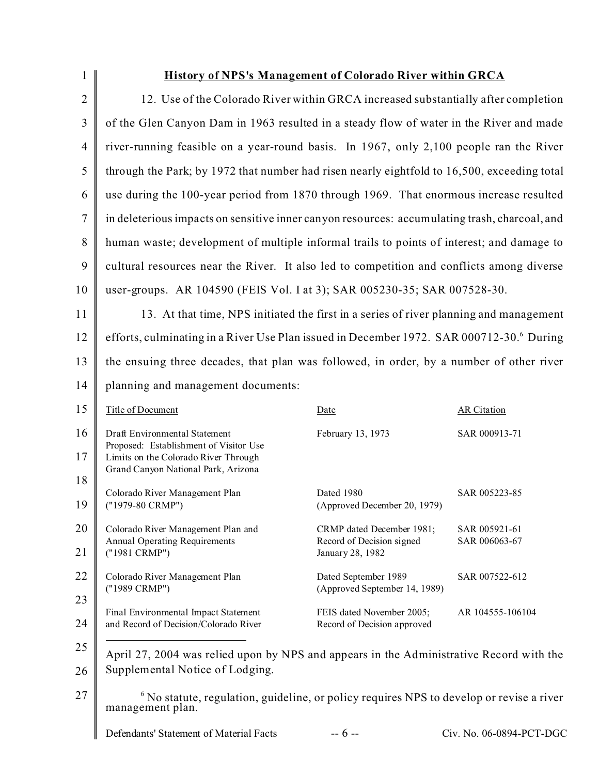| $\mathbf{1}$   |                                                                                                                         | <b>History of NPS's Management of Colorado River within GRCA</b> |                                |
|----------------|-------------------------------------------------------------------------------------------------------------------------|------------------------------------------------------------------|--------------------------------|
| $\overline{2}$ | 12. Use of the Colorado River within GRCA increased substantially after completion                                      |                                                                  |                                |
| 3              | of the Glen Canyon Dam in 1963 resulted in a steady flow of water in the River and made                                 |                                                                  |                                |
| $\overline{4}$ | river-running feasible on a year-round basis. In 1967, only 2,100 people ran the River                                  |                                                                  |                                |
| 5              | through the Park; by 1972 that number had risen nearly eightfold to 16,500, exceeding total                             |                                                                  |                                |
| 6              | use during the 100-year period from 1870 through 1969. That enormous increase resulted                                  |                                                                  |                                |
| $\overline{7}$ | in deleterious impacts on sensitive inner canyon resources: accumulating trash, charcoal, and                           |                                                                  |                                |
| 8              | human waste; development of multiple informal trails to points of interest; and damage to                               |                                                                  |                                |
| 9              | cultural resources near the River. It also led to competition and conflicts among diverse                               |                                                                  |                                |
| 10             | user-groups. AR 104590 (FEIS Vol. I at 3); SAR 005230-35; SAR 007528-30.                                                |                                                                  |                                |
| 11             | 13. At that time, NPS initiated the first in a series of river planning and management                                  |                                                                  |                                |
| 12             | efforts, culminating in a River Use Plan issued in December 1972. SAR 000712-30. During                                 |                                                                  |                                |
| 13             | the ensuing three decades, that plan was followed, in order, by a number of other river                                 |                                                                  |                                |
| 14             | planning and management documents:                                                                                      |                                                                  |                                |
| 15             | Title of Document                                                                                                       | Date                                                             | <b>AR</b> Citation             |
| 16             | Draft Environmental Statement<br>Proposed: Establishment of Visitor Use                                                 | February 13, 1973                                                | SAR 000913-71                  |
| 17<br>18       | Limits on the Colorado River Through<br>Grand Canyon National Park, Arizona                                             |                                                                  |                                |
| 19             | Colorado River Management Plan<br>("1979-80 CRMP")                                                                      | Dated 1980<br>(Approved December 20, 1979)                       | SAR 005223-85                  |
| 20             | Colorado River Management Plan and<br><b>Annual Operating Requirements</b>                                              | CRMP dated December 1981;<br>Record of Decision signed           | SAR 005921-61<br>SAR 006063-67 |
| 21             | ("1981 CRMP")                                                                                                           | January 28, 1982                                                 |                                |
| 22             | Colorado River Management Plan<br>("1989 CRMP")                                                                         | Dated September 1989<br>(Approved September 14, 1989)            | SAR 007522-612                 |
| 23<br>24       | Final Environmental Impact Statement<br>and Record of Decision/Colorado River                                           | FEIS dated November 2005;<br>Record of Decision approved         | AR 104555-106104               |
| 25             | April 27, 2004 was relied upon by NPS and appears in the Administrative Record with the                                 |                                                                  |                                |
| 26             | Supplemental Notice of Lodging.                                                                                         |                                                                  |                                |
| 27             | <sup>6</sup> No statute, regulation, guideline, or policy requires NPS to develop or revise a river<br>management plan. |                                                                  |                                |
|                | Defendants' Statement of Material Facts                                                                                 | $-6-$                                                            | Civ. No. 06-0894-PCT-DGC       |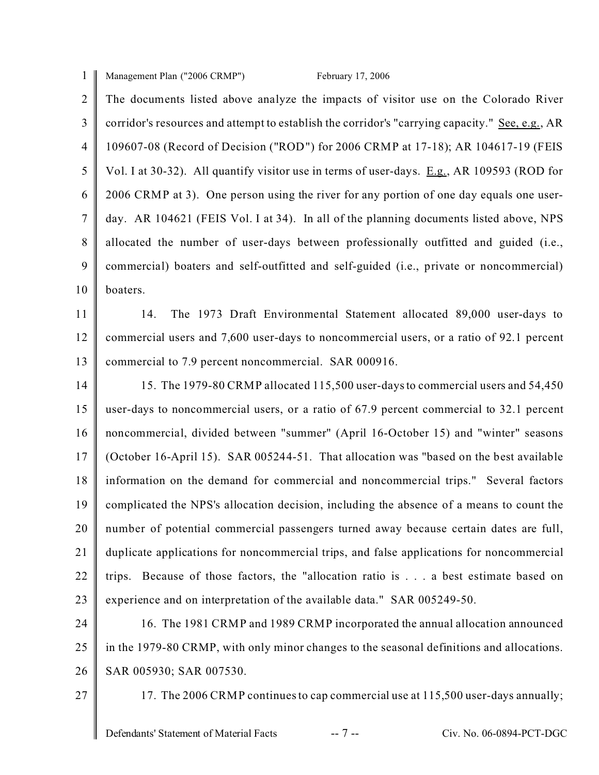1 Management Plan ("2006 CRMP") February 17, 2006

 $\mathfrak{D}$ 3 4 5 6 7 8 9 10 The documents listed above analyze the impacts of visitor use on the Colorado River corridor's resources and attempt to establish the corridor's "carrying capacity." See, e.g., AR 109607-08 (Record of Decision ("ROD") for 2006 CRMP at 17-18); AR 104617-19 (FEIS Vol. I at 30-32). All quantify visitor use in terms of user-days. E.g., AR 109593 (ROD for 2006 CRMP at 3). One person using the river for any portion of one day equals one userday. AR 104621 (FEIS Vol. I at 34). In all of the planning documents listed above, NPS allocated the number of user-days between professionally outfitted and guided (i.e., commercial) boaters and self-outfitted and self-guided (i.e., private or noncommercial) boaters.

11 12 13 14. The 1973 Draft Environmental Statement allocated 89,000 user-days to commercial users and 7,600 user-days to noncommercial users, or a ratio of 92.1 percent commercial to 7.9 percent noncommercial. SAR 000916.

14 15 16 17 18 19 20 21 22 23 15. The 1979-80 CRMP allocated 115,500 user-days to commercial users and 54,450 user-days to noncommercial users, or a ratio of 67.9 percent commercial to 32.1 percent noncommercial, divided between "summer" (April 16-October 15) and "winter" seasons (October 16-April 15). SAR 005244-51. That allocation was "based on the best available information on the demand for commercial and noncommercial trips." Several factors complicated the NPS's allocation decision, including the absence of a means to count the number of potential commercial passengers turned away because certain dates are full, duplicate applications for noncommercial trips, and false applications for noncommercial trips. Because of those factors, the "allocation ratio is . . . a best estimate based on experience and on interpretation of the available data." SAR 005249-50.

24 25 26 16. The 1981 CRMP and 1989 CRMP incorporated the annual allocation announced in the 1979-80 CRMP, with only minor changes to the seasonal definitions and allocations. SAR 005930; SAR 007530.

27

17. The 2006 CRMP continues to cap commercial use at 115,500 user-days annually;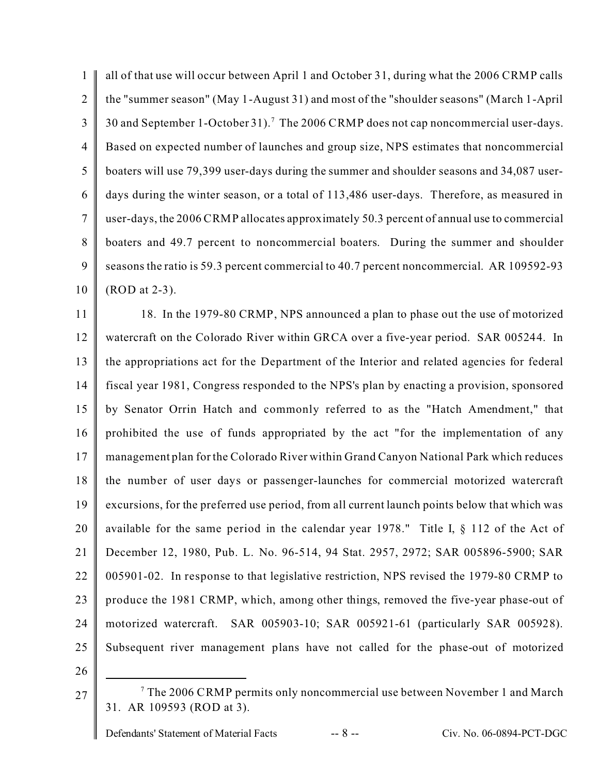1  $\mathfrak{D}$ 3 4 5 6 7 8 9 10 all of that use will occur between April 1 and October 31, during what the 2006 CRMP calls the "summer season" (May 1-August 31) and most of the "shoulder seasons" (March 1-April 30 and September 1-October 31).<sup>7</sup> The 2006 CRMP does not cap noncommercial user-days. Based on expected number of launches and group size, NPS estimates that noncommercial boaters will use 79,399 user-days during the summer and shoulder seasons and 34,087 userdays during the winter season, or a total of 113,486 user-days. Therefore, as measured in user-days, the 2006 CRMP allocates approximately 50.3 percent of annual use to commercial boaters and 49.7 percent to noncommercial boaters. During the summer and shoulder seasons the ratio is 59.3 percent commercial to 40.7 percent noncommercial. AR 109592-93 (ROD at 2-3).

11 12 13 14 15 16 17 18 19 20 21 22 23 24 25 26 18. In the 1979-80 CRMP, NPS announced a plan to phase out the use of motorized watercraft on the Colorado River within GRCA over a five-year period. SAR 005244. In the appropriations act for the Department of the Interior and related agencies for federal fiscal year 1981, Congress responded to the NPS's plan by enacting a provision, sponsored by Senator Orrin Hatch and commonly referred to as the "Hatch Amendment," that prohibited the use of funds appropriated by the act "for the implementation of any management plan for the Colorado River within Grand Canyon National Park which reduces the number of user days or passenger-launches for commercial motorized watercraft excursions, for the preferred use period, from all current launch points below that which was available for the same period in the calendar year 1978." Title I, § 112 of the Act of December 12, 1980, Pub. L. No. 96-514, 94 Stat. 2957, 2972; SAR 005896-5900; SAR 005901-02. In response to that legislative restriction, NPS revised the 1979-80 CRMP to produce the 1981 CRMP, which, among other things, removed the five-year phase-out of motorized watercraft. SAR 005903-10; SAR 005921-61 (particularly SAR 005928). Subsequent river management plans have not called for the phase-out of motorized

- 
- 27

 $7$  The 2006 CRMP permits only noncommercial use between November 1 and March 31. AR 109593 (ROD at 3).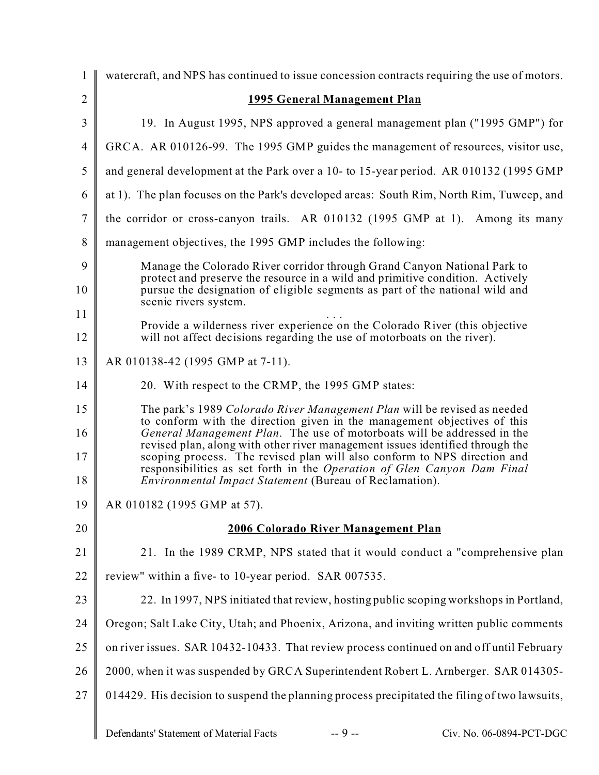| $\mathbf{1}$   | watercraft, and NPS has continued to issue concession contracts requiring the use of motors.                                                                                                                                         |  |  |
|----------------|--------------------------------------------------------------------------------------------------------------------------------------------------------------------------------------------------------------------------------------|--|--|
| $\overline{2}$ | <b>1995 General Management Plan</b>                                                                                                                                                                                                  |  |  |
| 3              | 19. In August 1995, NPS approved a general management plan ("1995 GMP") for                                                                                                                                                          |  |  |
| $\overline{4}$ | GRCA. AR 010126-99. The 1995 GMP guides the management of resources, visitor use,                                                                                                                                                    |  |  |
| 5              | and general development at the Park over a 10- to 15-year period. AR 010132 (1995 GMP                                                                                                                                                |  |  |
| 6              | at 1). The plan focuses on the Park's developed areas: South Rim, North Rim, Tuweep, and                                                                                                                                             |  |  |
| 7              | the corridor or cross-canyon trails. AR 010132 (1995 GMP at 1). Among its many                                                                                                                                                       |  |  |
| 8              | management objectives, the 1995 GMP includes the following:                                                                                                                                                                          |  |  |
| 9              | Manage the Colorado River corridor through Grand Canyon National Park to                                                                                                                                                             |  |  |
| 10             | protect and preserve the resource in a wild and primitive condition. Actively<br>pursue the designation of eligible segments as part of the national wild and<br>scenic rivers system.                                               |  |  |
| 11             | Provide a wilderness river experience on the Colorado River (this objective                                                                                                                                                          |  |  |
| 12             | will not affect decisions regarding the use of motorboats on the river).                                                                                                                                                             |  |  |
| 13             | AR 010138-42 (1995 GMP at 7-11).                                                                                                                                                                                                     |  |  |
| 14             | 20. With respect to the CRMP, the 1995 GMP states:                                                                                                                                                                                   |  |  |
| 15<br>16       | The park's 1989 Colorado River Management Plan will be revised as needed<br>to conform with the direction given in the management objectives of this<br>General Management Plan. The use of motorboats will be addressed in the      |  |  |
| 17             | revised plan, along with other river management issues identified through the<br>scoping process. The revised plan will also conform to NPS direction and<br>responsibilities as set forth in the Operation of Glen Canyon Dam Final |  |  |
| 18             | Environmental Impact Statement (Bureau of Reclamation).                                                                                                                                                                              |  |  |
| 19             | AR 010182 (1995 GMP at 57).                                                                                                                                                                                                          |  |  |
| 20             | 2006 Colorado River Management Plan                                                                                                                                                                                                  |  |  |
| 21             | 21. In the 1989 CRMP, NPS stated that it would conduct a "comprehensive plan                                                                                                                                                         |  |  |
| 22             | review" within a five- to 10-year period. SAR 007535.                                                                                                                                                                                |  |  |
| 23             | 22. In 1997, NPS initiated that review, hosting public scoping workshops in Portland,                                                                                                                                                |  |  |
| 24             | Oregon; Salt Lake City, Utah; and Phoenix, Arizona, and inviting written public comments                                                                                                                                             |  |  |
| 25             | on river issues. SAR 10432-10433. That review process continued on and off until February                                                                                                                                            |  |  |
| 26             | 2000, when it was suspended by GRCA Superintendent Robert L. Arnberger. SAR 014305-                                                                                                                                                  |  |  |
| 27             | 014429. His decision to suspend the planning process precipitated the filing of two lawsuits,                                                                                                                                        |  |  |
|                | $-9 -$<br>Defendants' Statement of Material Facts<br>Civ. No. 06-0894-PCT-DGC                                                                                                                                                        |  |  |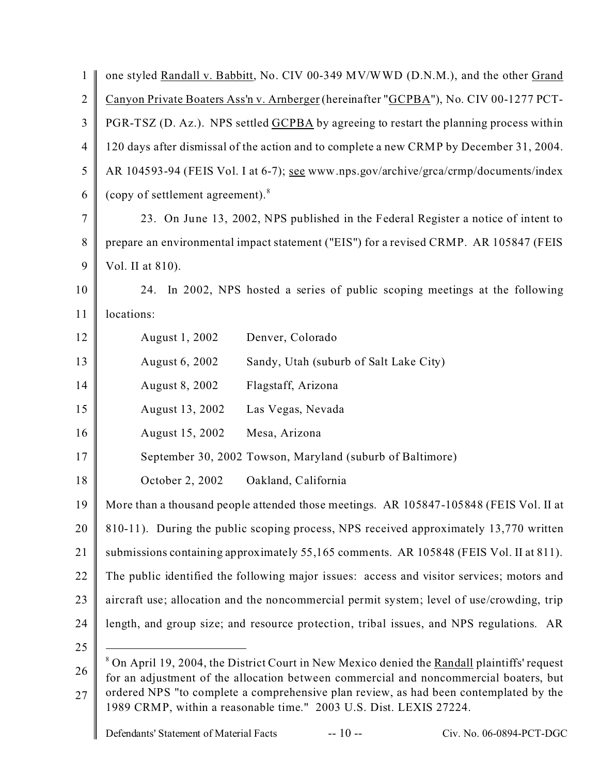| $\mathbf{1}$   | one styled Randall v. Babbitt, No. CIV 00-349 MV/WWD (D.N.M.), and the other Grand                                                                                                               |  |
|----------------|--------------------------------------------------------------------------------------------------------------------------------------------------------------------------------------------------|--|
| $\overline{2}$ | Canyon Private Boaters Ass'n v. Arnberger (hereinafter "GCPBA"), No. CIV 00-1277 PCT-                                                                                                            |  |
| 3              | PGR-TSZ (D. Az.). NPS settled GCPBA by agreeing to restart the planning process within                                                                                                           |  |
| $\overline{4}$ | 120 days after dismissal of the action and to complete a new CRMP by December 31, 2004.                                                                                                          |  |
| 5              | AR 104593-94 (FEIS Vol. I at 6-7); see www.nps.gov/archive/grca/crmp/documents/index                                                                                                             |  |
| 6              | (copy of settlement agreement). <sup>8</sup>                                                                                                                                                     |  |
| 7              | 23. On June 13, 2002, NPS published in the Federal Register a notice of intent to                                                                                                                |  |
| 8              | prepare an environmental impact statement ("EIS") for a revised CRMP. AR 105847 (FEIS                                                                                                            |  |
| 9              | Vol. II at 810).                                                                                                                                                                                 |  |
| 10             | 24. In 2002, NPS hosted a series of public scoping meetings at the following                                                                                                                     |  |
| 11             | locations:                                                                                                                                                                                       |  |
| 12             | August 1, 2002<br>Denver, Colorado                                                                                                                                                               |  |
| 13             | August 6, 2002<br>Sandy, Utah (suburb of Salt Lake City)                                                                                                                                         |  |
| 14             | August 8, 2002<br>Flagstaff, Arizona                                                                                                                                                             |  |
| 15             | August 13, 2002<br>Las Vegas, Nevada                                                                                                                                                             |  |
| 16             | August 15, 2002<br>Mesa, Arizona                                                                                                                                                                 |  |
| 17             | September 30, 2002 Towson, Maryland (suburb of Baltimore)                                                                                                                                        |  |
| 18             | October 2, 2002<br>Oakland, California                                                                                                                                                           |  |
| 19             | More than a thousand people attended those meetings. AR 105847-105848 (FEIS Vol. II at                                                                                                           |  |
| 20             | 810-11). During the public scoping process, NPS received approximately 13,770 written                                                                                                            |  |
| 21             | submissions containing approximately 55,165 comments. AR 105848 (FEIS Vol. II at 811).                                                                                                           |  |
| 22             | The public identified the following major issues: access and visitor services; motors and                                                                                                        |  |
| 23             | aircraft use; allocation and the noncommercial permit system; level of use/crowding, trip                                                                                                        |  |
| 24             | length, and group size; and resource protection, tribal issues, and NPS regulations. AR                                                                                                          |  |
| 25             |                                                                                                                                                                                                  |  |
| 26             | <sup>8</sup> On April 19, 2004, the District Court in New Mexico denied the Randall plaintiffs' request<br>for an adjustment of the allocation between commercial and noncommercial boaters, but |  |
| 27             | ordered NPS "to complete a comprehensive plan review, as had been contemplated by the<br>1989 CRMP, within a reasonable time." 2003 U.S. Dist. LEXIS 27224.                                      |  |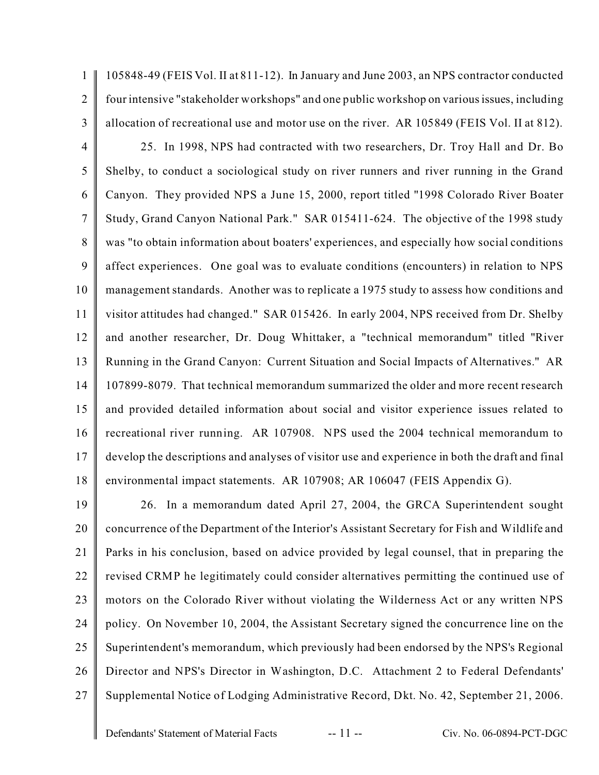105848-49 (FEIS Vol. II at 811-12). In January and June 2003, an NPS contractor conducted four intensive "stakeholder workshops" and one public workshop on variousissues, including allocation of recreational use and motor use on the river. AR 105849 (FEIS Vol. II at 812).

4 5 6 7 8 9 10 11 12 13 14 15 16 17 18 25. In 1998, NPS had contracted with two researchers, Dr. Troy Hall and Dr. Bo Shelby, to conduct a sociological study on river runners and river running in the Grand Canyon. They provided NPS a June 15, 2000, report titled "1998 Colorado River Boater Study, Grand Canyon National Park." SAR 015411-624. The objective of the 1998 study was "to obtain information about boaters' experiences, and especially how social conditions affect experiences. One goal was to evaluate conditions (encounters) in relation to NPS management standards. Another was to replicate a 1975 study to assess how conditions and visitor attitudes had changed." SAR 015426. In early 2004, NPS received from Dr. Shelby and another researcher, Dr. Doug Whittaker, a "technical memorandum" titled "River Running in the Grand Canyon: Current Situation and Social Impacts of Alternatives." AR 107899-8079. That technical memorandum summarized the older and more recent research and provided detailed information about social and visitor experience issues related to recreational river running. AR 107908. NPS used the 2004 technical memorandum to develop the descriptions and analyses of visitor use and experience in both the draft and final environmental impact statements. AR 107908; AR 106047 (FEIS Appendix G).

19 20 21 22 23 24 25 26 27 26. In a memorandum dated April 27, 2004, the GRCA Superintendent sought concurrence of the Department of the Interior's Assistant Secretary for Fish and Wildlife and Parks in his conclusion, based on advice provided by legal counsel, that in preparing the revised CRMP he legitimately could consider alternatives permitting the continued use of motors on the Colorado River without violating the Wilderness Act or any written NPS policy. On November 10, 2004, the Assistant Secretary signed the concurrence line on the Superintendent's memorandum, which previously had been endorsed by the NPS's Regional Director and NPS's Director in Washington, D.C. Attachment 2 to Federal Defendants' Supplemental Notice of Lodging Administrative Record, Dkt. No. 42, September 21, 2006.

1

 $\mathfrak{D}$ 

3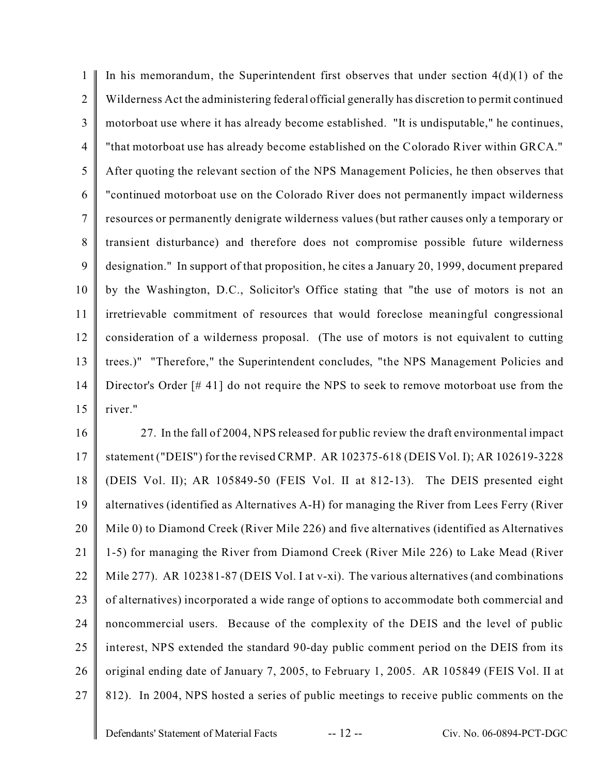1  $\mathfrak{D}$ 3 4 5 6 7 8 9 10 11 12 13 14 15 In his memorandum, the Superintendent first observes that under section  $4(d)(1)$  of the Wilderness Act the administering federal official generally has discretion to permit continued motorboat use where it has already become established. "It is undisputable," he continues, "that motorboat use has already become established on the Colorado River within GRCA." After quoting the relevant section of the NPS Management Policies, he then observes that "continued motorboat use on the Colorado River does not permanently impact wilderness resources or permanently denigrate wilderness values (but rather causes only a temporary or transient disturbance) and therefore does not compromise possible future wilderness designation." In support of that proposition, he cites a January 20, 1999, document prepared by the Washington, D.C., Solicitor's Office stating that "the use of motors is not an irretrievable commitment of resources that would foreclose meaningful congressional consideration of a wilderness proposal. (The use of motors is not equivalent to cutting trees.)" "Therefore," the Superintendent concludes, "the NPS Management Policies and Director's Order [#41] do not require the NPS to seek to remove motorboat use from the river."

16 17 18 19 20 21 22 23 24 25 26 27 27. In the fall of 2004, NPS released for public review the draft environmental impact statement ("DEIS") for the revised CRMP. AR 102375-618 (DEIS Vol. I); AR 102619-3228 (DEIS Vol. II); AR 105849-50 (FEIS Vol. II at 812-13). The DEIS presented eight alternatives (identified as Alternatives A-H) for managing the River from Lees Ferry (River Mile 0) to Diamond Creek (River Mile 226) and five alternatives (identified as Alternatives 1-5) for managing the River from Diamond Creek (River Mile 226) to Lake Mead (River Mile 277). AR 102381-87 (DEIS Vol. I at v-xi). The various alternatives (and combinations of alternatives) incorporated a wide range of options to accommodate both commercial and noncommercial users. Because of the complexity of the DEIS and the level of public interest, NPS extended the standard 90-day public comment period on the DEIS from its original ending date of January 7, 2005, to February 1, 2005. AR 105849 (FEIS Vol. II at 812). In 2004, NPS hosted a series of public meetings to receive public comments on the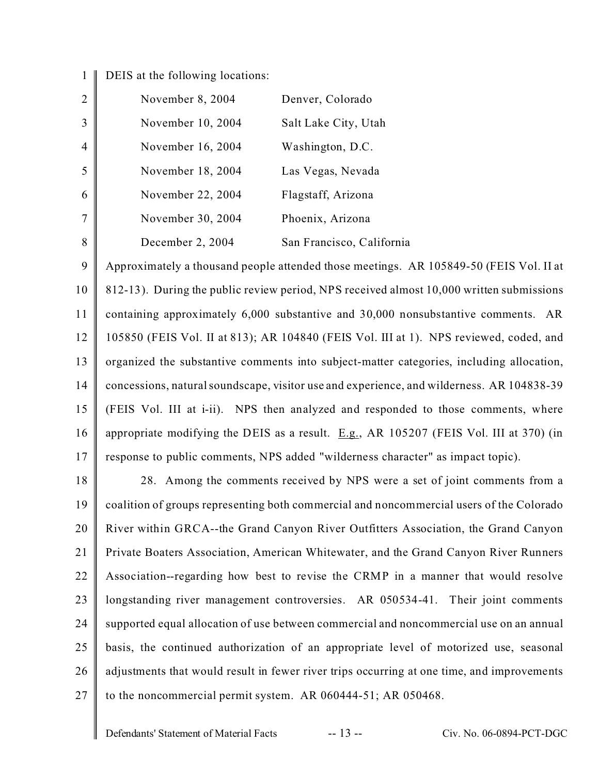## $1 \parallel$ DEIS at the following locations:

|   | November 8, 2004  | Denver, Colorado          |
|---|-------------------|---------------------------|
|   | November 10, 2004 | Salt Lake City, Utah      |
|   | November 16, 2004 | Washington, D.C.          |
|   | November 18, 2004 | Las Vegas, Nevada         |
| 6 | November 22, 2004 | Flagstaff, Arizona        |
|   | November 30, 2004 | Phoenix, Arizona          |
| 8 | December 2, 2004  | San Francisco, California |

9 10 11 12 13 14 15 16 17 Approximately a thousand people attended those meetings. AR 105849-50 (FEIS Vol. II at 812-13). During the public review period, NPS received almost 10,000 written submissions containing approximately 6,000 substantive and 30,000 nonsubstantive comments. AR 105850 (FEIS Vol. II at 813); AR 104840 (FEIS Vol. III at 1). NPS reviewed, coded, and organized the substantive comments into subject-matter categories, including allocation, concessions, natural soundscape, visitor use and experience, and wilderness. AR 104838-39 (FEIS Vol. III at i-ii). NPS then analyzed and responded to those comments, where appropriate modifying the DEIS as a result.  $E.g., AR 105207$  (FEIS Vol. III at 370) (in response to public comments, NPS added "wilderness character" as impact topic).

18 19 20 21 22 23 24 25 26 27 28. Among the comments received by NPS were a set of joint comments from a coalition of groups representing both commercial and noncommercial users of the Colorado River within GRCA--the Grand Canyon River Outfitters Association, the Grand Canyon Private Boaters Association, American Whitewater, and the Grand Canyon River Runners Association--regarding how best to revise the CRMP in a manner that would resolve longstanding river management controversies. AR 050534-41. Their joint comments supported equal allocation of use between commercial and noncommercial use on an annual basis, the continued authorization of an appropriate level of motorized use, seasonal adjustments that would result in fewer river trips occurring at one time, and improvements to the noncommercial permit system. AR 060444-51; AR 050468.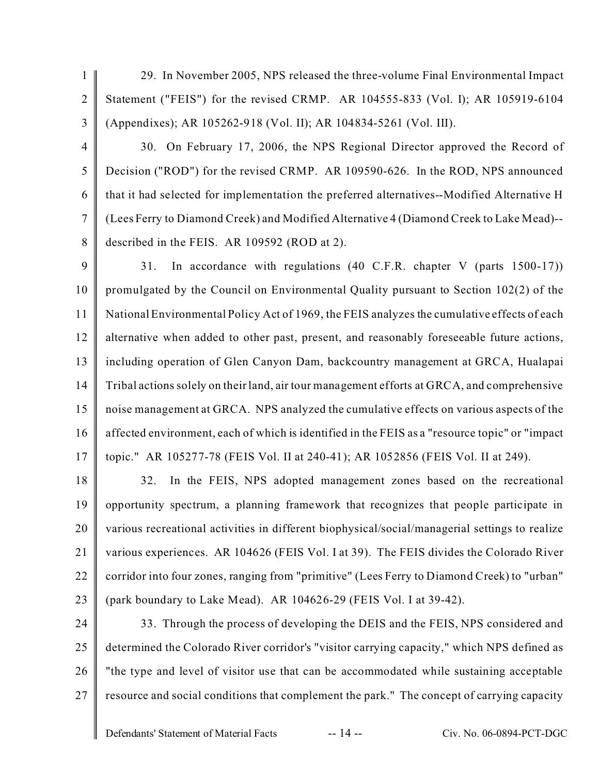- 1  $\overline{2}$ 3 29. In November 2005, NPS released the three-volume Final Environmental Impact Statement ("FEIS") for the revised CRMP. AR 104555-833 (Vol. I); AR 105919-6104 (Appendixes); AR 105262-918 (Vol. II); AR 104834-5261 (Vol. III).
- 4

5

6

7

8

30. On February 17, 2006, the NPS Regional Director approved the Record of Decision ("ROD") for the revised CRMP. AR 109590-626. In the ROD, NPS announced that it had selected for implementation the preferred alternatives--Modified Alternative H (Lees Ferry to Diamond Creek) and Modified Alternative 4 (Diamond Creek to Lake Mead)- described in the FEIS. AR 109592 (ROD at 2).

9 10 11 12 13 14 15 16 17 31. In accordance with regulations (40 C.F.R. chapter V (parts 1500-17)) promulgated by the Council on Environmental Quality pursuant to Section 102(2) of the National Environmental Policy Act of 1969, the FEIS analyzes the cumulative effects of each alternative when added to other past, present, and reasonably foreseeable future actions, including operation of Glen Canyon Dam, backcountry management at GRCA, Hualapai Tribal actions solely on their land, air tour management efforts at GRCA, and comprehensive noise management at GRCA. NPS analyzed the cumulative effects on various aspects of the affected environment, each of which is identified in the FEIS as a "resource topic" or "impact topic." AR 105277-78 (FEIS Vol. II at 240-41); AR 1052856 (FEIS Vol. II at 249).

18 19 20 21 22 23 32. In the FEIS, NPS adopted management zones based on the recreational opportunity spectrum, a planning framework that recognizes that people participate in various recreational activities in different biophysical/social/managerial settings to realize various experiences. AR 104626 (FEIS Vol. I at 39). The FEIS divides the Colorado River corridor into four zones, ranging from "primitive" (Lees Ferry to Diamond Creek) to "urban" (park boundary to Lake Mead). AR 104626-29 (FEIS Vol. I at 39-42).

24

25 26 27 33. Through the process of developing the DEIS and the FEIS, NPS considered and determined the Colorado River corridor's "visitor carrying capacity," which NPS defined as "the type and level of visitor use that can be accommodated while sustaining acceptable resource and social conditions that complement the park." The concept of carrying capacity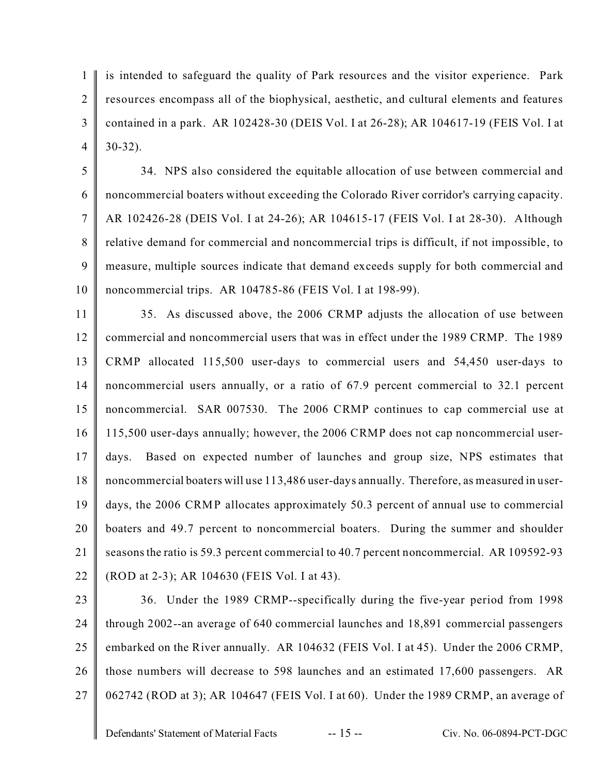1  $\mathfrak{D}$ 3 4 is intended to safeguard the quality of Park resources and the visitor experience. Park resources encompass all of the biophysical, aesthetic, and cultural elements and features contained in a park. AR 102428-30 (DEIS Vol. I at 26-28); AR 104617-19 (FEIS Vol. I at 30-32).

5 6 7 8 9 10 34. NPS also considered the equitable allocation of use between commercial and noncommercial boaters without exceeding the Colorado River corridor's carrying capacity. AR 102426-28 (DEIS Vol. I at 24-26); AR 104615-17 (FEIS Vol. I at 28-30). Although relative demand for commercial and noncommercial trips is difficult, if not impossible, to measure, multiple sources indicate that demand exceeds supply for both commercial and noncommercial trips. AR 104785-86 (FEIS Vol. I at 198-99).

11 12 13 14 15 16 17 18 19 20 21 22 35. As discussed above, the 2006 CRMP adjusts the allocation of use between commercial and noncommercial users that was in effect under the 1989 CRMP. The 1989 CRMP allocated 115,500 user-days to commercial users and 54,450 user-days to noncommercial users annually, or a ratio of 67.9 percent commercial to 32.1 percent noncommercial. SAR 007530. The 2006 CRMP continues to cap commercial use at 115,500 user-days annually; however, the 2006 CRMP does not cap noncommercial userdays. Based on expected number of launches and group size, NPS estimates that noncommercial boaters will use 113,486 user-days annually. Therefore, as measured in userdays, the 2006 CRMP allocates approximately 50.3 percent of annual use to commercial boaters and 49.7 percent to noncommercial boaters. During the summer and shoulder seasons the ratio is 59.3 percent commercial to 40.7 percent noncommercial. AR 109592-93 (ROD at 2-3); AR 104630 (FEIS Vol. I at 43).

23 24 25 26 27 36. Under the 1989 CRMP--specifically during the five-year period from 1998 through 2002--an average of 640 commercial launches and 18,891 commercial passengers embarked on the River annually. AR 104632 (FEIS Vol. I at 45). Under the 2006 CRMP, those numbers will decrease to 598 launches and an estimated 17,600 passengers. AR 062742 (ROD at 3); AR 104647 (FEIS Vol. I at 60). Under the 1989 CRMP, an average of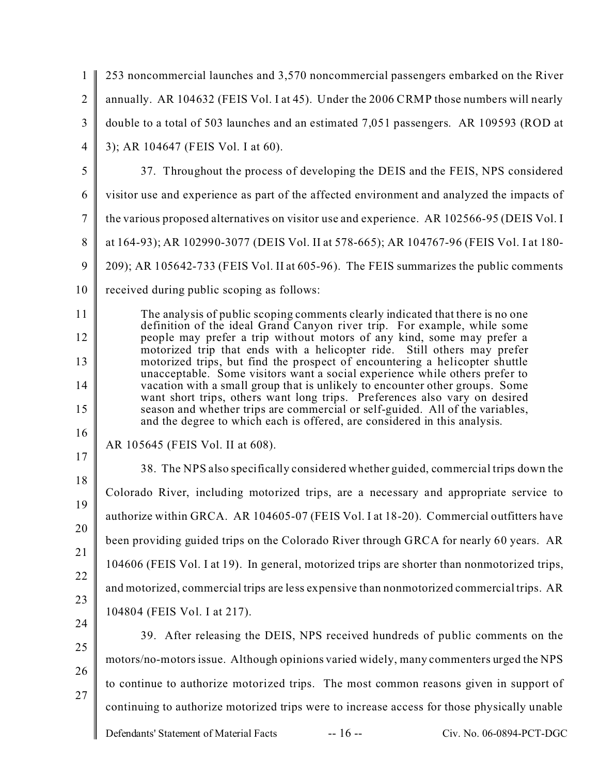| 1              | 253 noncommercial launches and 3,570 noncommercial passengers embarked on the River                                                                                                                                                    |
|----------------|----------------------------------------------------------------------------------------------------------------------------------------------------------------------------------------------------------------------------------------|
| $\overline{2}$ | annually. AR 104632 (FEIS Vol. I at 45). Under the 2006 CRMP those numbers will nearly                                                                                                                                                 |
| 3              | double to a total of 503 launches and an estimated 7,051 passengers. AR 109593 (ROD at                                                                                                                                                 |
| $\overline{4}$ | 3); AR 104647 (FEIS Vol. I at 60).                                                                                                                                                                                                     |
| 5              | 37. Throughout the process of developing the DEIS and the FEIS, NPS considered                                                                                                                                                         |
| 6              | visitor use and experience as part of the affected environment and analyzed the impacts of                                                                                                                                             |
| $\tau$         | the various proposed alternatives on visitor use and experience. AR 102566-95 (DEIS Vol. I                                                                                                                                             |
| 8              | at 164-93); AR 102990-3077 (DEIS Vol. II at 578-665); AR 104767-96 (FEIS Vol. I at 180-                                                                                                                                                |
| 9              | 209); AR 105642-733 (FEIS Vol. II at 605-96). The FEIS summarizes the public comments                                                                                                                                                  |
| 10             | received during public scoping as follows:                                                                                                                                                                                             |
| 11             | The analysis of public scoping comments clearly indicated that there is no one                                                                                                                                                         |
| 12             | definition of the ideal Grand Canyon river trip. For example, while some<br>people may prefer a trip without motors of any kind, some may prefer a                                                                                     |
| 13             | motorized trip that ends with a helicopter ride. Still others may prefer<br>motorized trips, but find the prospect of encountering a helicopter shuttle<br>unacceptable. Some visitors want a social experience while others prefer to |
| 14             | vacation with a small group that is unlikely to encounter other groups. Some<br>want short trips, others want long trips. Preferences also vary on desired                                                                             |
| 15             | season and whether trips are commercial or self-guided. All of the variables,<br>and the degree to which each is offered, are considered in this analysis.                                                                             |
| 16             | AR 105645 (FEIS Vol. II at 608).                                                                                                                                                                                                       |
| 17<br>18       | 38. The NPS also specifically considered whether guided, commercial trips down the                                                                                                                                                     |
|                | Colorado River, including motorized trips, are a necessary and appropriate service to                                                                                                                                                  |
| 19<br>20       | authorize within GRCA. AR 104605-07 (FEIS Vol. I at 18-20). Commercial outfitters have                                                                                                                                                 |
|                | been providing guided trips on the Colorado River through GRCA for nearly 60 years. AR                                                                                                                                                 |
| 21             | 104606 (FEIS Vol. I at 19). In general, motorized trips are shorter than nonmotorized trips,                                                                                                                                           |
| 22             | and motorized, commercial trips are less expensive than nonmotorized commercial trips. AR                                                                                                                                              |
| 23<br>24       | 104804 (FEIS Vol. I at 217).                                                                                                                                                                                                           |
| 25             | 39. After releasing the DEIS, NPS received hundreds of public comments on the                                                                                                                                                          |
|                | motors/no-motors issue. Although opinions varied widely, many commenters urged the NPS                                                                                                                                                 |
| 26             | to continue to authorize motorized trips. The most common reasons given in support of                                                                                                                                                  |
| 27             | continuing to authorize motorized trips were to increase access for those physically unable                                                                                                                                            |
|                | $-16-$<br>Defendants' Statement of Material Facts<br>Civ. No. 06-0894-PCT-DGC                                                                                                                                                          |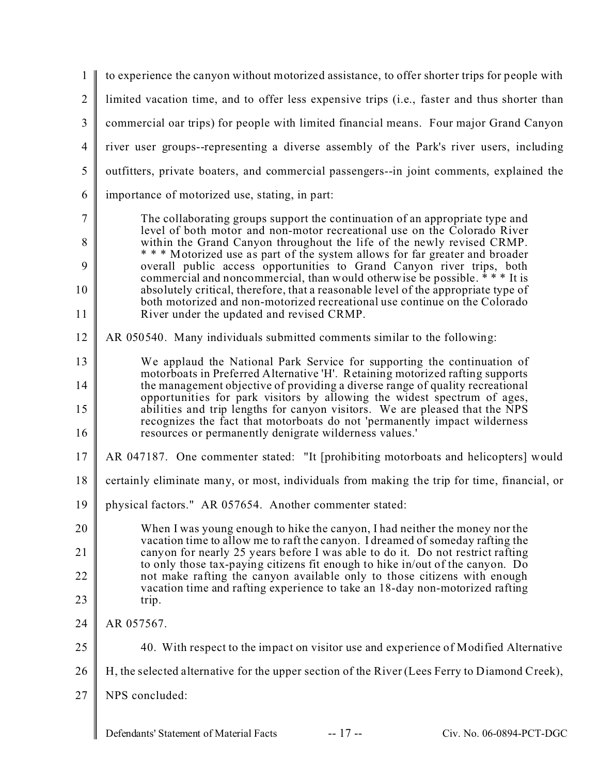1  $\mathfrak{D}$ 3 4 5 6 7 8 9 10 11 12 13 14 15 16 17 18 19 20 21 22 23 24 25 26 27 to experience the canyon without motorized assistance, to offer shorter trips for people with limited vacation time, and to offer less expensive trips (i.e., faster and thus shorter than commercial oar trips) for people with limited financial means. Four major Grand Canyon river user groups--representing a diverse assembly of the Park's river users, including outfitters, private boaters, and commercial passengers--in joint comments, explained the importance of motorized use, stating, in part: The collaborating groups support the continuation of an appropriate type and level of both motor and non-motor recreational use on the Colorado River within the Grand Canyon throughout the life of the newly revised CRMP. \* \* \* Motorized use as part of the system allows for far greater and broader overall public access opportunities to Grand Canyon river trips, both commercial and noncommercial, than would otherwise be possible.  $**$  It is absolutely critical, therefore, that a reasonable level of the appropriate type of both motorized and non-motorized recreational use continue on the Colorado River under the updated and revised CRMP. AR 050540. Many individuals submitted comments similar to the following: We applaud the National Park Service for supporting the continuation of motorboats in Preferred Alternative 'H'. Retaining motorized rafting supports the management objective of providing a diverse range of quality recreational opportunities for park visitors by allowing the widest spectrum of ages, abilities and trip lengths for canyon visitors. We are pleased that the NPS recognizes the fact that motorboats do not 'permanently impact wilderness resources or permanently denigrate wilderness values.' AR 047187. One commenter stated: "It [prohibiting motorboats and helicopters] would certainly eliminate many, or most, individuals from making the trip for time, financial, or physical factors." AR 057654. Another commenter stated: When I was young enough to hike the canyon, I had neither the money nor the vacation time to allow me to raft the canyon. I dreamed of someday rafting the canyon for nearly 25 years before I was able to do it. Do not restrict rafting to only those tax-paying citizens fit enough to hike in/out of the canyon. Do not make rafting the canyon available only to those citizens with enough vacation time and rafting experience to take an 18-day non-motorized rafting trip. AR 057567. 40. With respect to the impact on visitor use and experience of Modified Alternative H, the selected alternative for the upper section of the River (Lees Ferry to Diamond Creek), NPS concluded:

Defendants' Statement of Material Facts -- 17 -- Civ. No. 06-0894-PCT-DGC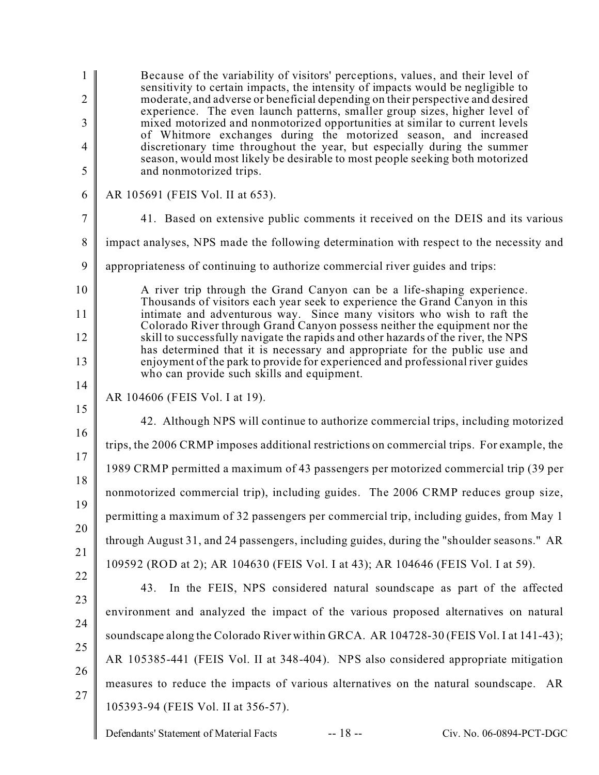1  $\mathfrak{D}$ 3 4 5 6 7 8 9 10 11 12 13 14 15 16 17 18 19 20 21 22 23 24 25 26 27 Defendants' Statement of Material Facts -- 18 -- Civ. No. 06-0894-PCT-DGC Because of the variability of visitors' perceptions, values, and their level of sensitivity to certain impacts, the intensity of impacts would be negligible to moderate, and adverse or beneficial depending on their perspective and desired experience. The even launch patterns, smaller group sizes, higher level of mixed motorized and nonmotorized opportunities at similar to current levels of Whitmore exchanges during the motorized season, and increased discretionary time throughout the year, but especially during the summer season, would most likely be desirable to most people seeking both motorized and nonmotorized trips. AR 105691 (FEIS Vol. II at 653). 41. Based on extensive public comments it received on the DEIS and its various impact analyses, NPS made the following determination with respect to the necessity and appropriateness of continuing to authorize commercial river guides and trips: A river trip through the Grand Canyon can be a life-shaping experience. Thousands of visitors each year seek to experience the Grand Canyon in this intimate and adventurous way. Since many visitors who wish to raft the Colorado River through Grand Canyon possess neither the equipment nor the skill to successfully navigate the rapids and other hazards of the river, the NPS has determined that it is necessary and appropriate for the public use and enjoyment of the park to provide for experienced and professional river guides who can provide such skills and equipment. AR 104606 (FEIS Vol. I at 19). 42. Although NPS will continue to authorize commercial trips, including motorized trips, the 2006 CRMP imposes additional restrictions on commercial trips. For example, the 1989 CRMP permitted a maximum of 43 passengers per motorized commercial trip (39 per nonmotorized commercial trip), including guides. The 2006 CRMP reduces group size, permitting a maximum of 32 passengers per commercial trip, including guides, from May 1 through August 31, and 24 passengers, including guides, during the "shoulder seasons." AR 109592 (ROD at 2); AR 104630 (FEIS Vol. I at 43); AR 104646 (FEIS Vol. I at 59). 43. In the FEIS, NPS considered natural soundscape as part of the affected environment and analyzed the impact of the various proposed alternatives on natural soundscape along the Colorado River within GRCA. AR 104728-30 (FEIS Vol. I at 141-43); AR 105385-441 (FEIS Vol. II at 348-404). NPS also considered appropriate mitigation measures to reduce the impacts of various alternatives on the natural soundscape. AR 105393-94 (FEIS Vol. II at 356-57).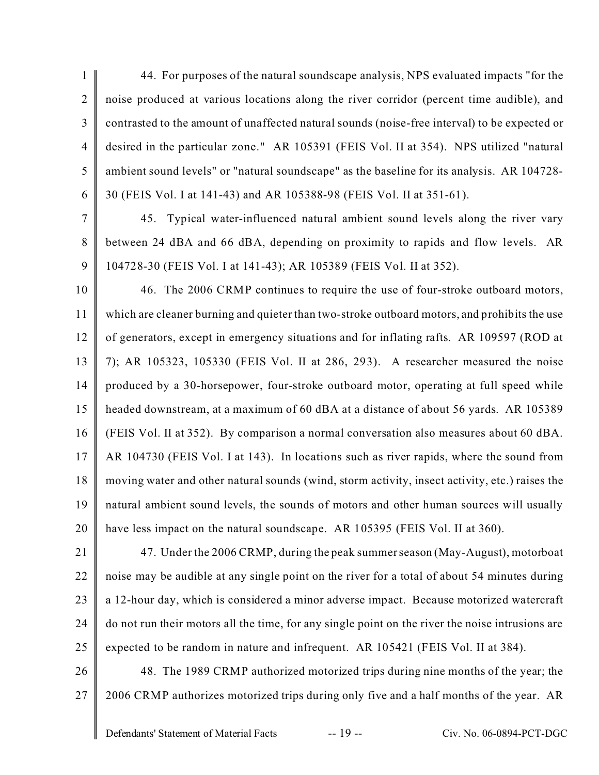1  $\overline{2}$ 3 4 5 6 44. For purposes of the natural soundscape analysis, NPS evaluated impacts "for the noise produced at various locations along the river corridor (percent time audible), and contrasted to the amount of unaffected natural sounds (noise-free interval) to be expected or desired in the particular zone." AR 105391 (FEIS Vol. II at 354). NPS utilized "natural ambient sound levels" or "natural soundscape" as the baseline for its analysis. AR 104728- 30 (FEIS Vol. I at 141-43) and AR 105388-98 (FEIS Vol. II at 351-61).

7 8 9 45. Typical water-influenced natural ambient sound levels along the river vary between 24 dBA and 66 dBA, depending on proximity to rapids and flow levels. AR 104728-30 (FEIS Vol. I at 141-43); AR 105389 (FEIS Vol. II at 352).

10 11 12 13 14 15 16 17 18 19 20 46. The 2006 CRMP continues to require the use of four-stroke outboard motors, which are cleaner burning and quieter than two-stroke outboard motors, and prohibits the use of generators, except in emergency situations and for inflating rafts. AR 109597 (ROD at 7); AR 105323, 105330 (FEIS Vol. II at 286, 293). A researcher measured the noise produced by a 30-horsepower, four-stroke outboard motor, operating at full speed while headed downstream, at a maximum of 60 dBA at a distance of about 56 yards. AR 105389 (FEIS Vol. II at 352). By comparison a normal conversation also measures about 60 dBA. AR 104730 (FEIS Vol. I at 143). In locations such as river rapids, where the sound from moving water and other natural sounds (wind, storm activity, insect activity, etc.) raises the natural ambient sound levels, the sounds of motors and other human sources will usually have less impact on the natural soundscape. AR 105395 (FEIS Vol. II at 360).

21 22 23 24 25 47. Under the 2006 CRMP, during the peak summer season (May-August), motorboat noise may be audible at any single point on the river for a total of about 54 minutes during a 12-hour day, which is considered a minor adverse impact. Because motorized watercraft do not run their motors all the time, for any single point on the river the noise intrusions are expected to be random in nature and infrequent. AR 105421 (FEIS Vol. II at 384).

26 27 48. The 1989 CRMP authorized motorized trips during nine months of the year; the 2006 CRMP authorizes motorized trips during only five and a half months of the year. AR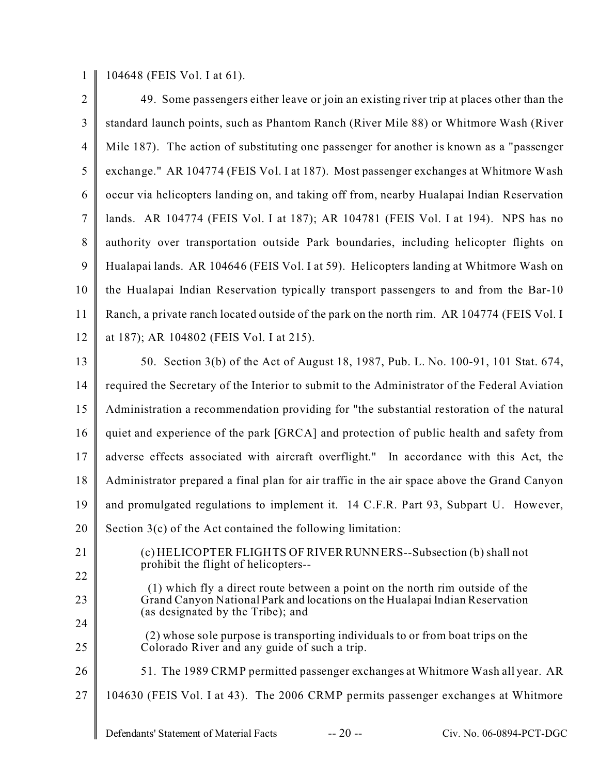1 104648 (FEIS Vol. I at 61).

| $\overline{2}$ | 49. Some passengers either leave or join an existing river trip at places other than the                                                                    |
|----------------|-------------------------------------------------------------------------------------------------------------------------------------------------------------|
| $\mathfrak{Z}$ | standard launch points, such as Phantom Ranch (River Mile 88) or Whitmore Wash (River                                                                       |
| $\overline{4}$ | Mile 187). The action of substituting one passenger for another is known as a "passenger                                                                    |
| 5              | exchange." AR 104774 (FEIS Vol. I at 187). Most passenger exchanges at Whitmore Wash                                                                        |
| 6              | occur via helicopters landing on, and taking off from, nearby Hualapai Indian Reservation                                                                   |
| $\overline{7}$ | lands. AR 104774 (FEIS Vol. I at 187); AR 104781 (FEIS Vol. I at 194). NPS has no                                                                           |
| 8              | authority over transportation outside Park boundaries, including helicopter flights on                                                                      |
| 9              | Hualapai lands. AR 104646 (FEIS Vol. I at 59). Helicopters landing at Whitmore Wash on                                                                      |
| 10             | the Hualapai Indian Reservation typically transport passengers to and from the Bar-10                                                                       |
| 11             | Ranch, a private ranch located outside of the park on the north rim. AR 104774 (FEIS Vol. I                                                                 |
| 12             | at 187); AR 104802 (FEIS Vol. I at 215).                                                                                                                    |
| 13             | 50. Section 3(b) of the Act of August 18, 1987, Pub. L. No. 100-91, 101 Stat. 674,                                                                          |
| 14             | required the Secretary of the Interior to submit to the Administrator of the Federal Aviation                                                               |
| 15             | Administration a recommendation providing for "the substantial restoration of the natural                                                                   |
| 16             | quiet and experience of the park [GRCA] and protection of public health and safety from                                                                     |
| 17             | adverse effects associated with aircraft overflight." In accordance with this Act, the                                                                      |
| 18             | Administrator prepared a final plan for air traffic in the air space above the Grand Canyon                                                                 |
| 19             | and promulgated regulations to implement it. 14 C.F.R. Part 93, Subpart U. However,                                                                         |
| 20             | Section $3(c)$ of the Act contained the following limitation:                                                                                               |
| 21             | (c) HELICOPTER FLIGHTS OF RIVER RUNNERS--Subsection (b) shall not                                                                                           |
| 22             | prohibit the flight of helicopters--                                                                                                                        |
| 23             | (1) which fly a direct route between a point on the north rim outside of the<br>Grand Canyon National Park and locations on the Hualapai Indian Reservation |
| 24             | (as designated by the Tribe); and                                                                                                                           |
| 25             | (2) whose sole purpose is transporting individuals to or from boat trips on the<br>Colorado River and any guide of such a trip.                             |
| 26             | 51. The 1989 CRMP permitted passenger exchanges at Whitmore Wash all year. AR                                                                               |
| 27             | 104630 (FEIS Vol. I at 43). The 2006 CRMP permits passenger exchanges at Whitmore                                                                           |
|                | $-20-$<br>Defendants' Statement of Material Facts<br>Civ. No. 06-0894-PCT-DGC                                                                               |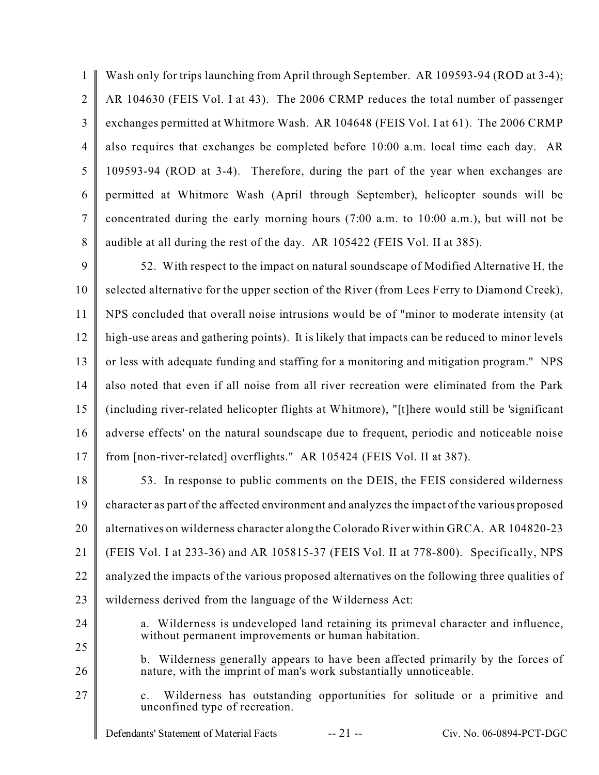1  $\mathfrak{D}$ 3 4 5 6 7 8 Wash only for trips launching from April through September. AR 109593-94 (ROD at 3-4); AR 104630 (FEIS Vol. I at 43). The 2006 CRMP reduces the total number of passenger exchanges permitted at Whitmore Wash. AR 104648 (FEIS Vol. I at 61). The 2006 CRMP also requires that exchanges be completed before 10:00 a.m. local time each day. AR 109593-94 (ROD at 3-4). Therefore, during the part of the year when exchanges are permitted at Whitmore Wash (April through September), helicopter sounds will be concentrated during the early morning hours (7:00 a.m. to 10:00 a.m.), but will not be audible at all during the rest of the day. AR 105422 (FEIS Vol. II at 385).

9 10 11 12 13 14 15 16 17 52. With respect to the impact on natural soundscape of Modified Alternative H, the selected alternative for the upper section of the River (from Lees Ferry to Diamond Creek), NPS concluded that overall noise intrusions would be of "minor to moderate intensity (at high-use areas and gathering points). It is likely that impacts can be reduced to minor levels or less with adequate funding and staffing for a monitoring and mitigation program." NPS also noted that even if all noise from all river recreation were eliminated from the Park (including river-related helicopter flights at Whitmore), "[t]here would still be 'significant adverse effects' on the natural soundscape due to frequent, periodic and noticeable noise from [non-river-related] overflights." AR 105424 (FEIS Vol. II at 387).

18 19 20 21 22 23 53. In response to public comments on the DEIS, the FEIS considered wilderness character as part of the affected environment and analyzes the impact of the various proposed alternatives on wilderness character along the Colorado River within GRCA. AR 104820-23 (FEIS Vol. I at 233-36) and AR 105815-37 (FEIS Vol. II at 778-800). Specifically, NPS analyzed the impacts of the various proposed alternatives on the following three qualities of wilderness derived from the language of the Wilderness Act:

24 25

a. Wilderness is undeveloped land retaining its primeval character and influence, without permanent improvements or human habitation.

26 b. Wilderness generally appears to have been affected primarily by the forces of nature, with the imprint of man's work substantially unnoticeable.

27 c. Wilderness has outstanding opportunities for solitude or a primitive and unconfined type of recreation.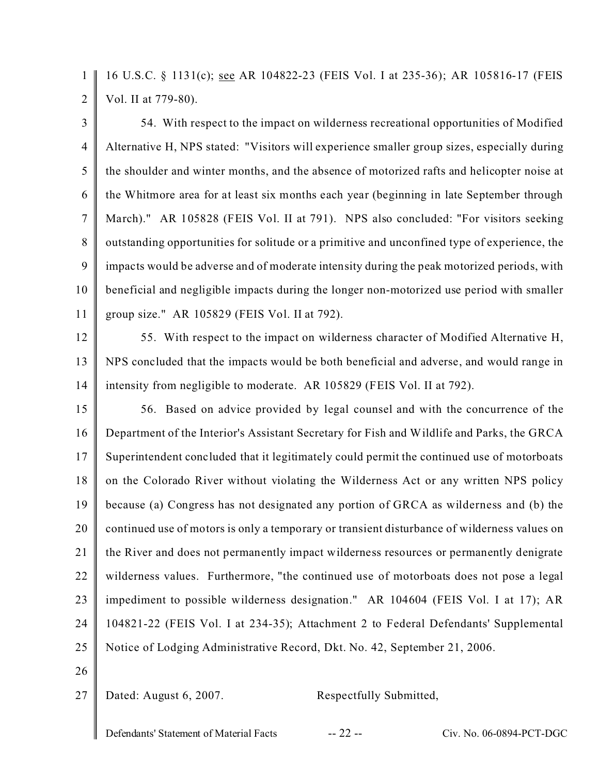1  $\overline{2}$ 16 U.S.C. § 1131(c); see AR 104822-23 (FEIS Vol. I at 235-36); AR 105816-17 (FEIS Vol. II at 779-80).

3 4 5 6 7 8 9 10 11 54. With respect to the impact on wilderness recreational opportunities of Modified Alternative H, NPS stated: "Visitors will experience smaller group sizes, especially during the shoulder and winter months, and the absence of motorized rafts and helicopter noise at the Whitmore area for at least six months each year (beginning in late September through March)." AR 105828 (FEIS Vol. II at 791). NPS also concluded: "For visitors seeking outstanding opportunities for solitude or a primitive and unconfined type of experience, the impacts would be adverse and of moderate intensity during the peak motorized periods, with beneficial and negligible impacts during the longer non-motorized use period with smaller group size." AR 105829 (FEIS Vol. II at 792).

12

13 14 55. With respect to the impact on wilderness character of Modified Alternative H, NPS concluded that the impacts would be both beneficial and adverse, and would range in intensity from negligible to moderate. AR 105829 (FEIS Vol. II at 792).

15 16 17 18 19 20 21 22 23 24 25 56. Based on advice provided by legal counsel and with the concurrence of the Department of the Interior's Assistant Secretary for Fish and Wildlife and Parks, the GRCA Superintendent concluded that it legitimately could permit the continued use of motorboats on the Colorado River without violating the Wilderness Act or any written NPS policy because (a) Congress has not designated any portion of GRCA as wilderness and (b) the continued use of motors is only a temporary or transient disturbance of wilderness values on the River and does not permanently impact wilderness resources or permanently denigrate wilderness values. Furthermore, "the continued use of motorboats does not pose a legal impediment to possible wilderness designation." AR 104604 (FEIS Vol. I at 17); AR 104821-22 (FEIS Vol. I at 234-35); Attachment 2 to Federal Defendants' Supplemental Notice of Lodging Administrative Record, Dkt. No. 42, September 21, 2006.

26

27

Dated: August 6, 2007. Respectfully Submitted,

Defendants' Statement of Material Facts -- 22 -- Civ. No. 06-0894-PCT-DGC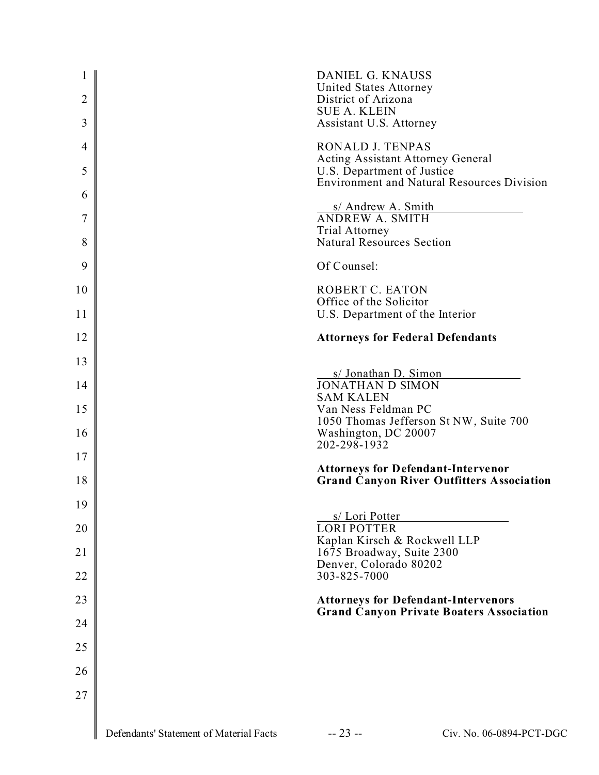| $\mathbf 1$<br>2 |                                         | DANIEL G. KNAUSS<br>United States Attorney<br>District of Arizona<br><b>SUE A. KLEIN</b> |
|------------------|-----------------------------------------|------------------------------------------------------------------------------------------|
| 3                |                                         | Assistant U.S. Attorney                                                                  |
| 4                |                                         | RONALD J. TENPAS<br><b>Acting Assistant Attorney General</b>                             |
| 5                |                                         | U.S. Department of Justice<br><b>Environment and Natural Resources Division</b>          |
| 6                |                                         | s/ Andrew A. Smith                                                                       |
| 7                |                                         | <b>ANDREW A. SMITH</b><br><b>Trial Attorney</b>                                          |
| 8                |                                         | <b>Natural Resources Section</b>                                                         |
| 9                |                                         | Of Counsel:                                                                              |
| 10               |                                         | <b>ROBERT C. EATON</b>                                                                   |
| 11               |                                         | Office of the Solicitor<br>U.S. Department of the Interior                               |
| 12               |                                         | <b>Attorneys for Federal Defendants</b>                                                  |
| 13               |                                         |                                                                                          |
| 14               |                                         | s/ Jonathan D. Simon<br><b>JONATHAN D SIMON</b>                                          |
|                  |                                         | <b>SAM KALEN</b>                                                                         |
| 15               |                                         | Van Ness Feldman PC<br>1050 Thomas Jefferson St NW, Suite 700                            |
| 16               |                                         | Washington, DC 20007<br>202-298-1932                                                     |
| 17               |                                         | <b>Attorneys for Defendant-Intervenor</b>                                                |
| 18               |                                         | <b>Grand Canyon River Outfitters Association</b>                                         |
| 19               |                                         | s/ Lori Potter                                                                           |
| 20               |                                         | <b>LORI POTTER</b><br>Kaplan Kirsch & Rockwell LLP                                       |
| 21               |                                         | 1675 Broadway, Suite 2300                                                                |
| 22               |                                         | Denver, Colorado 80202<br>303-825-7000                                                   |
| 23               |                                         | <b>Attorneys for Defendant-Intervenors</b>                                               |
| 24               |                                         | <b>Grand Canyon Private Boaters Association</b>                                          |
| 25               |                                         |                                                                                          |
| 26               |                                         |                                                                                          |
| 27               |                                         |                                                                                          |
|                  |                                         |                                                                                          |
|                  | Defendants' Statement of Material Facts | $-23 -$<br>Civ. No. 06-0894-PCT-DGC                                                      |